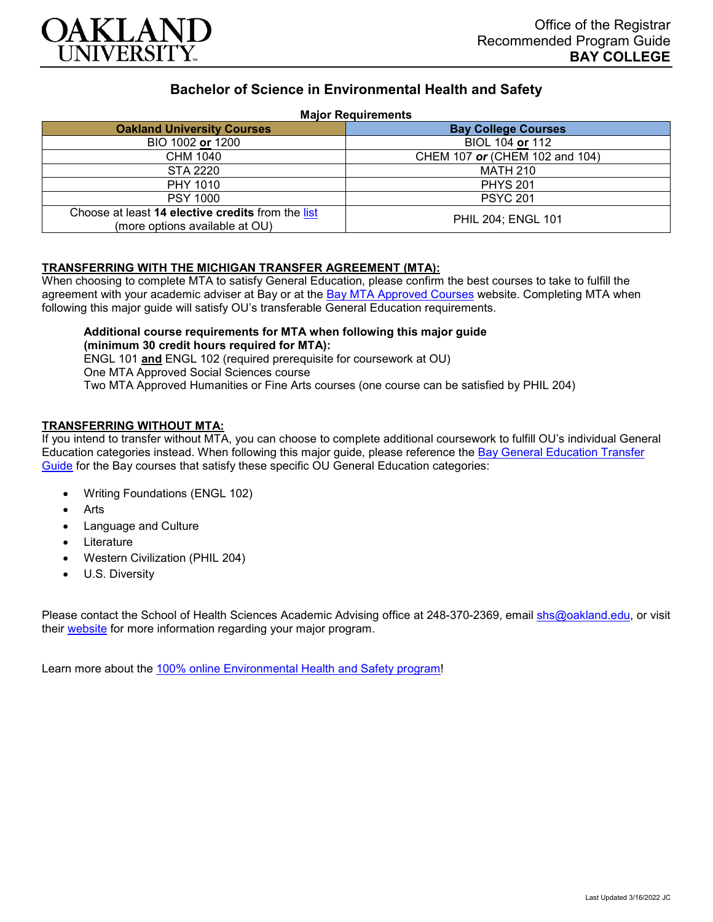

# **Bachelor of Science in Environmental Health and Safety**

## **Major Requirements**

| <b>Oakland University Courses</b>                                                   | <b>Bay College Courses</b>     |
|-------------------------------------------------------------------------------------|--------------------------------|
| BIO 1002 or 1200                                                                    | BIOL 104 or 112                |
| CHM 1040                                                                            | CHEM 107 or (CHEM 102 and 104) |
| STA 2220                                                                            | <b>MATH 210</b>                |
| PHY 1010                                                                            | <b>PHYS 201</b>                |
| <b>PSY 1000</b>                                                                     | <b>PSYC 201</b>                |
| Choose at least 14 elective credits from the list<br>(more options available at OU) | PHIL 204; ENGL 101             |

## **TRANSFERRING WITH THE MICHIGAN TRANSFER AGREEMENT (MTA):**

When choosing to complete MTA to satisfy General Education, please confirm the best courses to take to fulfill the agreement with your academic adviser at Bay or at the [Bay MTA Approved Courses](https://www.baycollege.edu/admissions/transfer/transfer-agreements.php) website. Completing MTA when following this major guide will satisfy OU's transferable General Education requirements.

## **Additional course requirements for MTA when following this major guide (minimum 30 credit hours required for MTA):**

ENGL 101 **and** ENGL 102 (required prerequisite for coursework at OU) One MTA Approved Social Sciences course Two MTA Approved Humanities or Fine Arts courses (one course can be satisfied by PHIL 204)

## **TRANSFERRING WITHOUT MTA:**

If you intend to transfer without MTA, you can choose to complete additional coursework to fulfill OU's individual General Education categories instead. When following this major guide, please reference the [Bay General Education Transfer](https://www.oakland.edu/Assets/Oakland/program-guides/bay-college/university-general-education-requirements/Bay%20Gen%20Ed.pdf)  [Guide](https://www.oakland.edu/Assets/Oakland/program-guides/bay-college/university-general-education-requirements/Bay%20Gen%20Ed.pdf) for the Bay courses that satisfy these specific OU General Education categories:

- Writing Foundations (ENGL 102)
- **Arts**
- Language and Culture
- Literature
- Western Civilization (PHIL 204)
- U.S. Diversity

Please contact the School of Health Sciences Academic Advising office at 248-370-2369, email [shs@oakland.edu,](mailto:shs@oakland.edu) or visit their [website](http://www.oakland.edu/shs/advising) for more information regarding your major program.

Learn more about the [100% online Environmental Health and Safety program!](https://www.oakland.edu/online/undergraduate-degree-programs/ehs/)